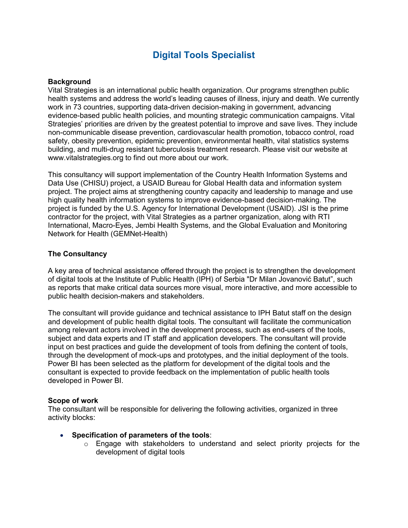# **Digital Tools Specialist**

#### **Background**

Vital Strategies is an international public health organization. Our programs strengthen public health systems and address the world's leading causes of illness, injury and death. We currently work in 73 countries, supporting data-driven decision-making in government, advancing evidence-based public health policies, and mounting strategic communication campaigns. Vital Strategies' priorities are driven by the greatest potential to improve and save lives. They include non-communicable disease prevention, cardiovascular health promotion, tobacco control, road safety, obesity prevention, epidemic prevention, environmental health, vital statistics systems building, and multi-drug resistant tuberculosis treatment research. Please visit our website at www.vitalstrategies.org to find out more about our work.

This consultancy will support implementation of the Country Health Information Systems and Data Use (CHISU) project, a USAID Bureau for Global Health data and information system project. The project aims at strengthening country capacity and leadership to manage and use high quality health information systems to improve evidence-based decision-making. The project is funded by the U.S. Agency for International Development (USAID). JSI is the prime contractor for the project, with Vital Strategies as a partner organization, along with RTI International, Macro-Eyes, Jembi Health Systems, and the Global Evaluation and Monitoring Network for Health (GEMNet-Health)

#### **The Consultancy**

A key area of technical assistance offered through the project is to strengthen the development of digital tools at the Institute of Public Health (IPH) of Serbia "Dr Milan Jovanović Batut", such as reports that make critical data sources more visual, more interactive, and more accessible to public health decision-makers and stakeholders.

The consultant will provide guidance and technical assistance to IPH Batut staff on the design and development of public health digital tools. The consultant will facilitate the communication among relevant actors involved in the development process, such as end-users of the tools, subject and data experts and IT staff and application developers. The consultant will provide input on best practices and guide the development of tools from defining the content of tools, through the development of mock-ups and prototypes, and the initial deployment of the tools. Power BI has been selected as the platform for development of the digital tools and the consultant is expected to provide feedback on the implementation of public health tools developed in Power BI.

#### **Scope of work**

The consultant will be responsible for delivering the following activities, organized in three activity blocks:

- **Specification of parameters of the tools**:
	- $\circ$  Engage with stakeholders to understand and select priority projects for the development of digital tools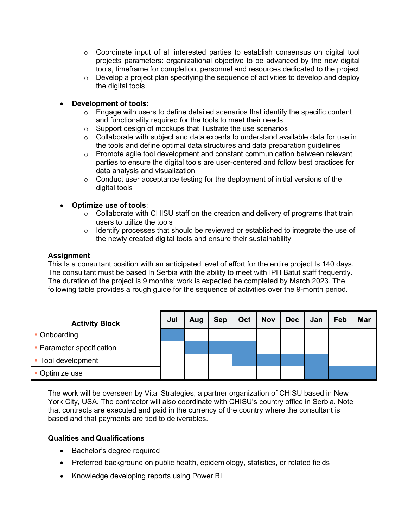- $\circ$  Coordinate input of all interested parties to establish consensus on digital tool projects parameters: organizational objective to be advanced by the new digital tools, timeframe for completion, personnel and resources dedicated to the project
- $\circ$  Develop a project plan specifying the sequence of activities to develop and deploy the digital tools

# • **Development of tools:**

- $\circ$  Engage with users to define detailed scenarios that identify the specific content and functionality required for the tools to meet their needs
- o Support design of mockups that illustrate the use scenarios
- $\circ$  Collaborate with subject and data experts to understand available data for use in the tools and define optimal data structures and data preparation guidelines
- o Promote agile tool development and constant communication between relevant parties to ensure the digital tools are user-centered and follow best practices for data analysis and visualization
- $\circ$  Conduct user acceptance testing for the deployment of initial versions of the digital tools

### • **Optimize use of tools**:

- $\circ$  Collaborate with CHISU staff on the creation and delivery of programs that train users to utilize the tools
- $\circ$  Identify processes that should be reviewed or established to integrate the use of the newly created digital tools and ensure their sustainability

### **Assignment**

This Is a consultant position with an anticipated level of effort for the entire project Is 140 days. The consultant must be based In Serbia with the ability to meet with IPH Batut staff frequently. The duration of the project is 9 months; work is expected be completed by March 2023. The following table provides a rough guide for the sequence of activities over the 9-month period.

| <b>Activity Block</b>     | Jul | Aug | <b>Sep</b> | Oct | <b>Nov</b> | <b>Dec</b> | Jan | Feb | Mar |
|---------------------------|-----|-----|------------|-----|------------|------------|-----|-----|-----|
| Onboarding                |     |     |            |     |            |            |     |     |     |
| • Parameter specification |     |     |            |     |            |            |     |     |     |
| Tool development          |     |     |            |     |            |            |     |     |     |
| Optimize use              |     |     |            |     |            |            |     |     |     |

The work will be overseen by Vital Strategies, a partner organization of CHISU based in New York City, USA. The contractor will also coordinate with CHISU's country office in Serbia. Note that contracts are executed and paid in the currency of the country where the consultant is based and that payments are tied to deliverables.

### **Qualities and Qualifications**

- Bachelor's degree required
- Preferred background on public health, epidemiology, statistics, or related fields
- Knowledge developing reports using Power BI